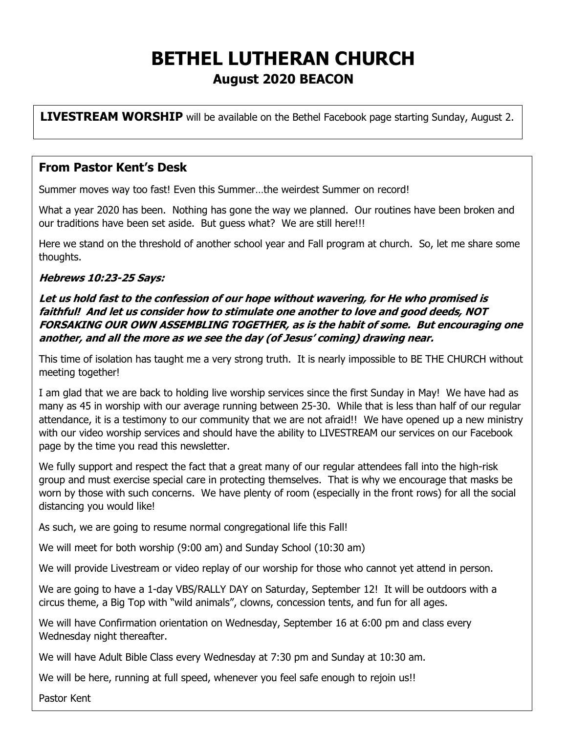# **BETHEL LUTHERAN CHURCH August 2020 BEACON**

**LIVESTREAM WORSHIP** will be available on the Bethel Facebook page starting Sunday, August 2.

#### **From Pastor Kent's Desk**

Summer moves way too fast! Even this Summer…the weirdest Summer on record!

What a year 2020 has been. Nothing has gone the way we planned. Our routines have been broken and our traditions have been set aside. But guess what? We are still here!!!

Here we stand on the threshold of another school year and Fall program at church. So, let me share some thoughts.

#### **Hebrews 10:23-25 Says:**

**Let us hold fast to the confession of our hope without wavering, for He who promised is faithful! And let us consider how to stimulate one another to love and good deeds, NOT FORSAKING OUR OWN ASSEMBLING TOGETHER, as is the habit of some. But encouraging one another, and all the more as we see the day (of Jesus' coming) drawing near.**

This time of isolation has taught me a very strong truth. It is nearly impossible to BE THE CHURCH without meeting together!

I am glad that we are back to holding live worship services since the first Sunday in May! We have had as many as 45 in worship with our average running between 25-30. While that is less than half of our regular attendance, it is a testimony to our community that we are not afraid!! We have opened up a new ministry with our video worship services and should have the ability to LIVESTREAM our services on our Facebook page by the time you read this newsletter.

We fully support and respect the fact that a great many of our regular attendees fall into the high-risk group and must exercise special care in protecting themselves. That is why we encourage that masks be worn by those with such concerns. We have plenty of room (especially in the front rows) for all the social distancing you would like!

As such, we are going to resume normal congregational life this Fall!

We will meet for both worship (9:00 am) and Sunday School (10:30 am)

We will provide Livestream or video replay of our worship for those who cannot yet attend in person.

We are going to have a 1-day VBS/RALLY DAY on Saturday, September 12! It will be outdoors with a circus theme, a Big Top with "wild animals", clowns, concession tents, and fun for all ages.

We will have Confirmation orientation on Wednesday, September 16 at 6:00 pm and class every Wednesday night thereafter.

We will have Adult Bible Class every Wednesday at 7:30 pm and Sunday at 10:30 am.

We will be here, running at full speed, whenever you feel safe enough to rejoin us!!

Pastor Kent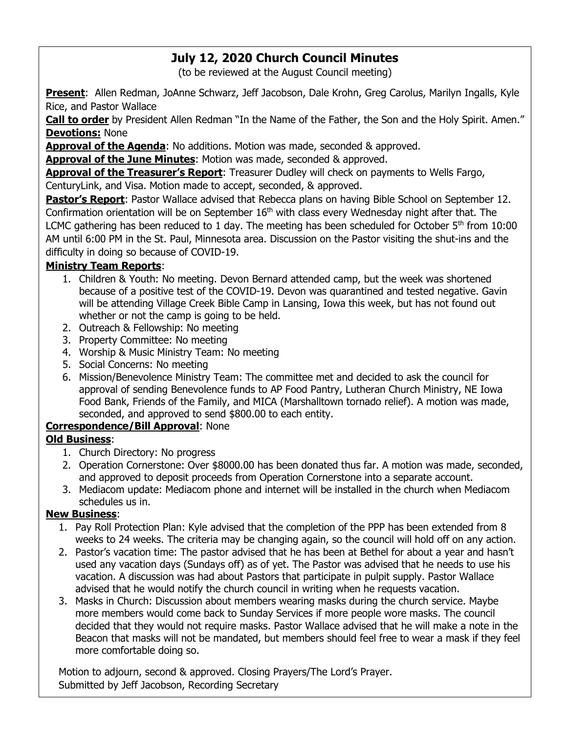# **July 12, 2020 Church Council Minutes**

(to be reviewed at the August Council meeting)

**Present**: Allen Redman, JoAnne Schwarz, Jeff Jacobson, Dale Krohn, Greg Carolus, Marilyn Ingalls, Kyle Rice, and Pastor Wallace

**Call to order** by President Allen Redman "In the Name of the Father, the Son and the Holy Spirit. Amen." **Devotions:** None

**Approval of the Agenda**: No additions. Motion was made, seconded & approved.

**Approval of the June Minutes**: Motion was made, seconded & approved.

**Approval of the Treasurer's Report**: Treasurer Dudley will check on payments to Wells Fargo, CenturyLink, and Visa. Motion made to accept, seconded, & approved.

**Pastor's Report**: Pastor Wallace advised that Rebecca plans on having Bible School on September 12. Confirmation orientation will be on September  $16<sup>th</sup>$  with class every Wednesday night after that. The LCMC gathering has been reduced to 1 day. The meeting has been scheduled for October  $5<sup>th</sup>$  from 10:00 AM until 6:00 PM in the St. Paul, Minnesota area. Discussion on the Pastor visiting the shut-ins and the difficulty in doing so because of COVID-19.

#### **Ministry Team Reports**:

- 1. Children & Youth: No meeting. Devon Bernard attended camp, but the week was shortened because of a positive test of the COVID-19. Devon was quarantined and tested negative. Gavin will be attending Village Creek Bible Camp in Lansing, Iowa this week, but has not found out whether or not the camp is going to be held.
- 2. Outreach & Fellowship: No meeting
- 3. Property Committee: No meeting
- 4. Worship & Music Ministry Team: No meeting
- 5. Social Concerns: No meeting
- 6. Mission/Benevolence Ministry Team: The committee met and decided to ask the council for approval of sending Benevolence funds to AP Food Pantry, Lutheran Church Ministry, NE Iowa Food Bank, Friends of the Family, and MICA (Marshalltown tornado relief). A motion was made, seconded, and approved to send \$800.00 to each entity.

#### **Correspondence/Bill Approval**: None

#### **Old Business**:

- 1. Church Directory: No progress
- 2. Operation Cornerstone: Over \$8000.00 has been donated thus far. A motion was made, seconded, and approved to deposit proceeds from Operation Cornerstone into a separate account.
- 3. Mediacom update: Mediacom phone and internet will be installed in the church when Mediacom schedules us in.

#### **New Business**:

- 1. Pay Roll Protection Plan: Kyle advised that the completion of the PPP has been extended from 8 weeks to 24 weeks. The criteria may be changing again, so the council will hold off on any action.
- 2. Pastor's vacation time: The pastor advised that he has been at Bethel for about a year and hasn't used any vacation days (Sundays off) as of yet. The Pastor was advised that he needs to use his vacation. A discussion was had about Pastors that participate in pulpit supply. Pastor Wallace advised that he would notify the church council in writing when he requests vacation.
- 3. Masks in Church: Discussion about members wearing masks during the church service. Maybe more members would come back to Sunday Services if more people wore masks. The council decided that they would not require masks. Pastor Wallace advised that he will make a note in the Beacon that masks will not be mandated, but members should feel free to wear a mask if they feel more comfortable doing so.

Motion to adjourn, second & approved. Closing Prayers/The Lord's Prayer. Submitted by Jeff Jacobson, Recording Secretary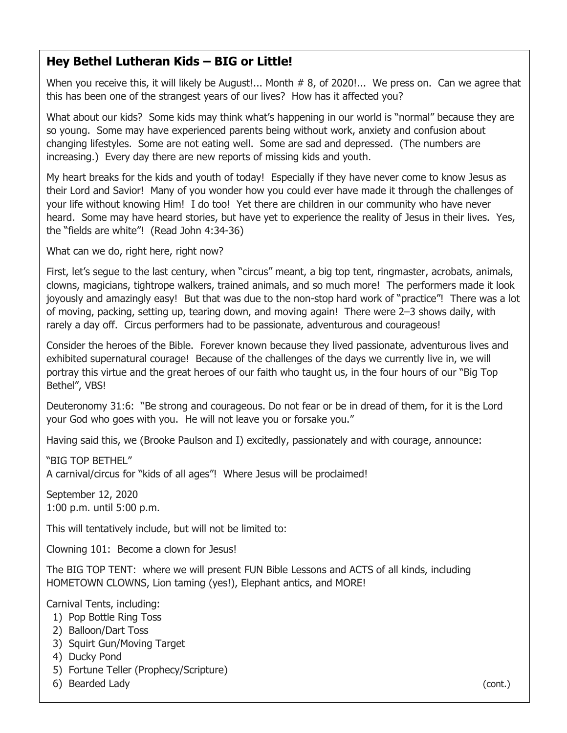## **Hey Bethel Lutheran Kids – BIG or Little!**

When you receive this, it will likely be August!... Month # 8, of 2020!... We press on. Can we agree that this has been one of the strangest years of our lives? How has it affected you?

What about our kids? Some kids may think what's happening in our world is "normal" because they are so young. Some may have experienced parents being without work, anxiety and confusion about changing lifestyles. Some are not eating well. Some are sad and depressed. (The numbers are increasing.) Every day there are new reports of missing kids and youth.

My heart breaks for the kids and youth of today! Especially if they have never come to know Jesus as their Lord and Savior! Many of you wonder how you could ever have made it through the challenges of your life without knowing Him! I do too! Yet there are children in our community who have never heard. Some may have heard stories, but have yet to experience the reality of Jesus in their lives. Yes, the "fields are white"! (Read John 4:34-36)

What can we do, right here, right now?

First, let's segue to the last century, when "circus" meant, a big top tent, ringmaster, acrobats, animals, clowns, magicians, tightrope walkers, trained animals, and so much more! The performers made it look joyously and amazingly easy! But that was due to the non-stop hard work of "practice"! There was a lot of moving, packing, setting up, tearing down, and moving again! There were 2–3 shows daily, with rarely a day off. Circus performers had to be passionate, adventurous and courageous!

Consider the heroes of the Bible. Forever known because they lived passionate, adventurous lives and exhibited supernatural courage! Because of the challenges of the days we currently live in, we will portray this virtue and the great heroes of our faith who taught us, in the four hours of our "Big Top Bethel", VBS!

Deuteronomy 31:6: "Be strong and courageous. Do not fear or be in dread of them, for it is the Lord your God who goes with you. He will not leave you or forsake you."

Having said this, we (Brooke Paulson and I) excitedly, passionately and with courage, announce:

"BIG TOP BETHEL"

A carnival/circus for "kids of all ages"! Where Jesus will be proclaimed!

September 12, 2020 1:00 p.m. until 5:00 p.m.

This will tentatively include, but will not be limited to:

Clowning 101: Become a clown for Jesus!

The BIG TOP TENT: where we will present FUN Bible Lessons and ACTS of all kinds, including HOMETOWN CLOWNS, Lion taming (yes!), Elephant antics, and MORE!

Carnival Tents, including:

- 1) Pop Bottle Ring Toss
- 2) Balloon/Dart Toss
- 3) Squirt Gun/Moving Target
- 4) Ducky Pond
- 5) Fortune Teller (Prophecy/Scripture)
- 6) Bearded Lady (cont.)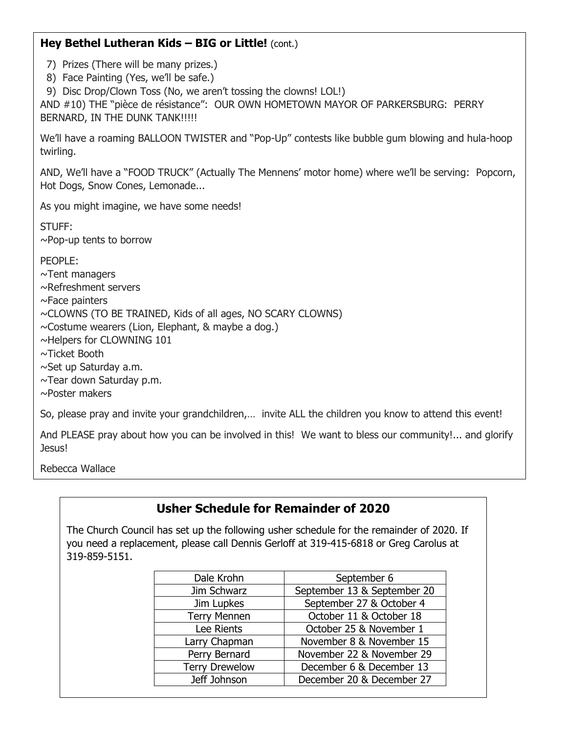#### **Hey Bethel Lutheran Kids – BIG or Little!** (cont.)

7) Prizes (There will be many prizes.)

8) Face Painting (Yes, we'll be safe.)

9) Disc Drop/Clown Toss (No, we aren't tossing the clowns! LOL!)

AND #10) THE "pièce de résistance": OUR OWN HOMETOWN MAYOR OF PARKERSBURG: PERRY BERNARD, IN THE DUNK TANK!!!!!

We'll have a roaming BALLOON TWISTER and "Pop-Up" contests like bubble gum blowing and hula-hoop twirling.

AND, We'll have a "FOOD TRUCK" (Actually The Mennens' motor home) where we'll be serving: Popcorn, Hot Dogs, Snow Cones, Lemonade...

As you might imagine, we have some needs!

STUFF: ~Pop-up tents to borrow

PEOPLE: ~Tent managers ~Refreshment servers ~Face painters ~CLOWNS (TO BE TRAINED, Kids of all ages, NO SCARY CLOWNS)  $\sim$ Costume wearers (Lion, Elephant, & maybe a dog.) ~Helpers for CLOWNING 101 ~Ticket Booth ~Set up Saturday a.m. ~Tear down Saturday p.m. ~Poster makers

So, please pray and invite your grandchildren,… invite ALL the children you know to attend this event!

And PLEASE pray about how you can be involved in this! We want to bless our community!... and glorify Jesus!

Rebecca Wallace

# **Usher Schedule for Remainder of 2020**

The Church Council has set up the following usher schedule for the remainder of 2020. If you need a replacement, please call Dennis Gerloff at 319-415-6818 or Greg Carolus at 319-859-5151.

| September 6                 |
|-----------------------------|
| September 13 & September 20 |
| September 27 & October 4    |
| October 11 & October 18     |
| October 25 & November 1     |
| November 8 & November 15    |
| November 22 & November 29   |
| December 6 & December 13    |
| December 20 & December 27   |
|                             |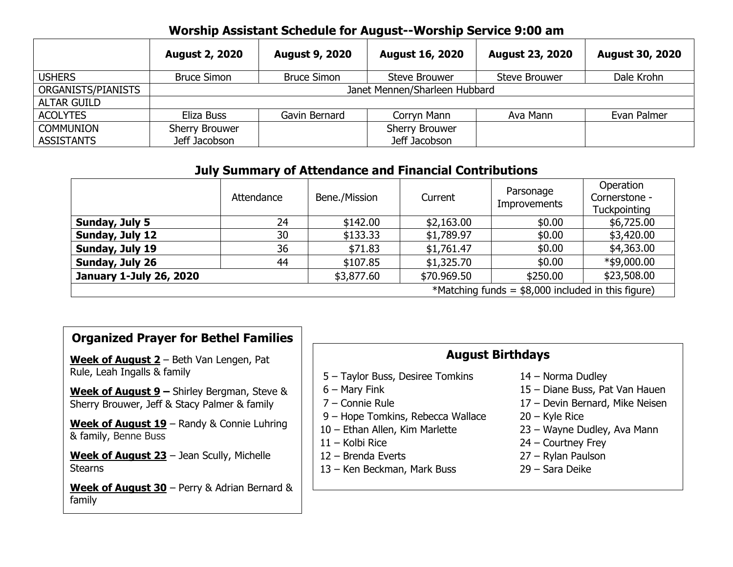## **Worship Assistant Schedule for August--Worship Service 9:00 am**

|                    | <b>August 2, 2020</b>         | <b>August 9, 2020</b> | <b>August 16, 2020</b> | <b>August 23, 2020</b> | <b>August 30, 2020</b> |  |
|--------------------|-------------------------------|-----------------------|------------------------|------------------------|------------------------|--|
| <b>USHERS</b>      | <b>Bruce Simon</b>            | <b>Bruce Simon</b>    | Steve Brouwer          | <b>Steve Brouwer</b>   | Dale Krohn             |  |
| ORGANISTS/PIANISTS | Janet Mennen/Sharleen Hubbard |                       |                        |                        |                        |  |
| <b>ALTAR GUILD</b> |                               |                       |                        |                        |                        |  |
| <b>ACOLYTES</b>    | Eliza Buss                    | Gavin Bernard         | Corryn Mann            | Ava Mann               | Evan Palmer            |  |
| <b>COMMUNION</b>   | Sherry Brouwer                |                       | <b>Sherry Brouwer</b>  |                        |                        |  |
| <b>ASSISTANTS</b>  | Jeff Jacobson                 |                       | Jeff Jacobson          |                        |                        |  |

## **July Summary of Attendance and Financial Contributions**

|                                                     | Attendance | Bene./Mission | Current     | Parsonage<br>Improvements | Operation<br>Cornerstone -<br>Tuckpointing |
|-----------------------------------------------------|------------|---------------|-------------|---------------------------|--------------------------------------------|
| Sunday, July 5                                      | 24         | \$142.00      | \$2,163.00  | \$0.00                    | \$6,725.00                                 |
| Sunday, July 12                                     | 30         | \$133.33      | \$1,789.97  | \$0.00                    | \$3,420.00                                 |
| Sunday, July 19                                     | 36         | \$71.83       | \$1,761.47  | \$0.00                    | \$4,363.00                                 |
| Sunday, July 26                                     | 44         | \$107.85      | \$1,325.70  | \$0.00                    | $*$ \$9,000.00                             |
| <b>January 1-July 26, 2020</b>                      |            | \$3,877.60    | \$70.969.50 | \$250.00                  | \$23,508.00                                |
| *Matching funds = $$8,000$ included in this figure) |            |               |             |                           |                                            |

#### **Organized Prayer for Bethel Families**

**Week of August 2** – Beth Van Lengen, Pat Rule, Leah Ingalls & family

**Week of August 9 –** Shirley Bergman, Steve & Sherry Brouwer, Jeff & Stacy Palmer & family

**Week of August 19** – Randy & Connie Luhring & family, Benne Buss

**Week of August 23** – Jean Scully, Michelle **Stearns** 

**Week of August 30** – Perry & Adrian Bernard & family

#### **August Birthdays**

- 5 Taylor Buss, Desiree Tomkins 14 Norma Dudley
- 
- 
- 9 Hope Tomkins, Rebecca Wallace 20 Kyle Rice
- 
- 
- 
- 13 Ken Beckman, Mark Buss 29 Sara Deike
- 
- 6 Mary Fink 15 Diane Buss, Pat Van Hauen
- 7 Connie Rule 17 Devin Bernard, Mike Neisen
	-
- 10 Ethan Allen, Kim Marlette 23 Wayne Dudley, Ava Mann
- 11 Kolbi Rice 24 Courtney Frey
- 12 Brenda Everts 27 Rylan Paulson
	-